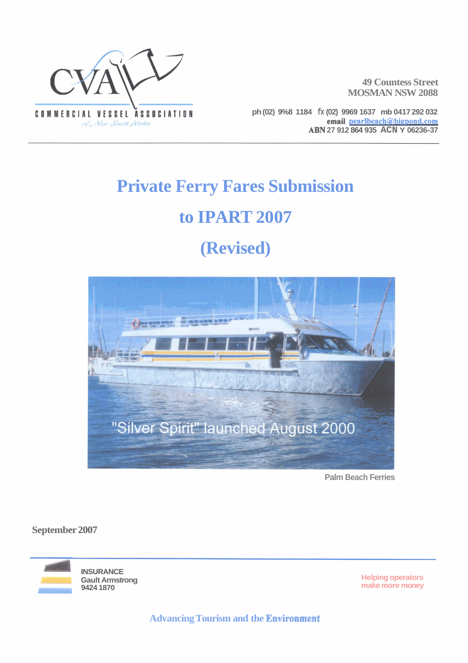

**49 Countess Street MOSMAN NSW 2088** 

**ph (02) 9%8 1184 fx (02) 9969 1637 mb 0417 292 032 email pearlbeach@bigpond.com ABN 27 912 864 935 ACN Y 06236-37** 

# **Private Ferry Fares Submission to IPART 2007**

## **(Revised)**



**Palm Beach Ferries** 

**September 2007** 

**INSURANCE Gault Armstrong 9424 1870** 

**Helping operators make more money** 

**Advancing Tourism and the Enviromeat**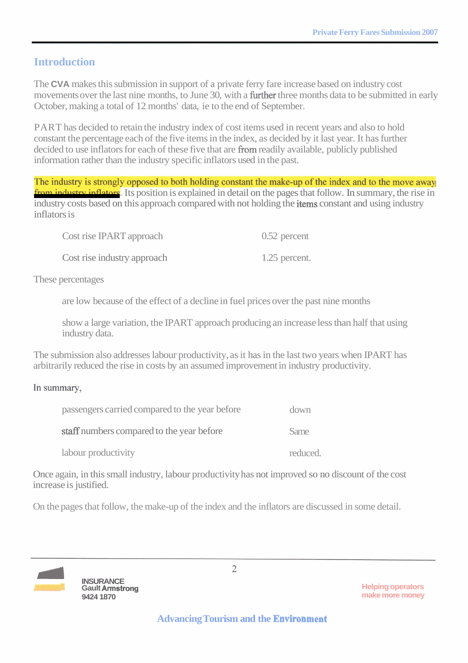## **Introduction**

The **CVA** makes this submission in support of a private ferry fare increase based on industry cost movements over the last nine months, to June 30, with a **further** three months data to be submitted in early October, making a total of 12 months' data, ie to the end of September.

PART has decided to retain the industry index of cost items used in recent years and also to hold constant the percentage each of the five items in the index, as decided by it last year. It has further decided to use inflators for each of these five that are from readily available, publicly published information rather than the industry specific inflators used in the past.

The industry is strongly opposed to both holding constant the make-up of the index and to the move away from industry inflators. Its position is explained in detail on the pages that follow. In summary, the rise in industry costs based on this approach compared with not holding the **items** constant and using industry inflators is

| Cost rise IPART approach    | $0.52$ percent |
|-----------------------------|----------------|
| Cost rise industry approach | 1.25 percent.  |

These percentages

are low because of the effect of a decline in fuel prices over the past nine months

show a large variation, the IPART approach producing an increase less than half that using industry data.

The submission also addresses labour productivity, as it has in the last two years when IPART has arbitrarily reduced the rise in costs by an assumed improvement in industry productivity.

In summary,

| passengers carried compared to the year before | down     |
|------------------------------------------------|----------|
| staff numbers compared to the year before      | Same     |
| labour productivity                            | reduced. |

Once again, in this small industry, labour productivity has not improved so no discount of the cost increase is justified.

On the pages that follow, the make-up of the index and the inflators are discussed in some detail.



**Helping operators make more money**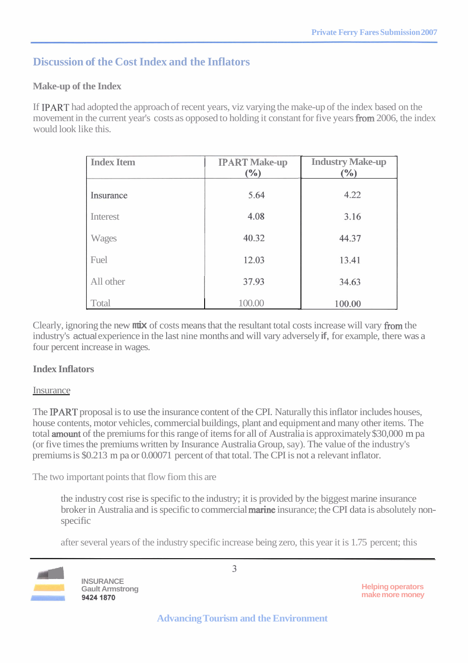## **Discussion of the Cost Index and the Inflators**

### **Make-up of the Index**

If PART had adopted the approach of recent years, viz varying the make-up of the index based on the movement in the current year's costs as opposed to holding it constant for five years from 2006, the index would look like this.

| <b>Index Item</b> | <b>IPART Make-up</b><br>(%) | <b>Industry Make-up</b><br>$(\%)$ |
|-------------------|-----------------------------|-----------------------------------|
| Insurance         | 5.64                        | 4.22                              |
| Interest          | 4.08                        | 3.16                              |
| <b>Wages</b>      | 40.32                       | 44.37                             |
| Fuel              | 12.03                       | 13.41                             |
| All other         | 37.93                       | 34.63                             |
| Total             | 100.00                      | 100.00                            |

Clearly, ignoring the new **mix** of costs means that the resultant total costs increase will vary fiom the industry's actual experience in the last nine months and will vary adversely if, for example, there was a four percent increase in wages.

### **Index Inflators**

#### **Insurance**

The IPART proposal is to use the insurance content of the CPI. Naturally this inflator includes houses, house contents, motor vehicles, commercial buildings, plant and equipment and many other items. The total amount of the premiums for this range of items for all of Australia is approximately \$30,000 m pa (or five times the premiums written by Insurance Australia Group, say). The value of the industry's premiums is \$0.213 m pa or 0.00071 percent of that total. The CPI is not a relevant inflator.

The two important points that flow fiom this are

the industry cost rise is specific to the industry; it is provided by the biggest marine insurance broker in Australia and is specific to commercial **marine** insurance; the CPI data is absolutely nonspecific

after several years of the industry specific increase being zero, this year it is 1.75 percent; this



**1 BSURANCE**<br>**Gault Armstrong** 9424 1870

**Helping operators make more money**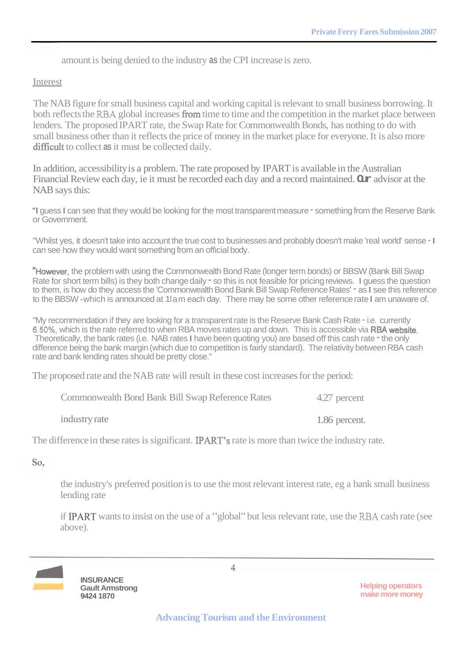amount is being denied to the industry **as** the CPI increase is zero.

#### Interest

The NAB figure for small business capital and working capital is relevant to small business borrowing. It both reflects the **RBA** global increases fiom time to time and the competition in the market place between lenders. The proposed IPART rate, the Swap Rate for Commonwealth Bonds, has nothing to do with small business other than it reflects the price of money in the market place for everyone. It is also more difficult to collect as it must be collected daily.

In addition, accessibility is a problem. The rate proposed by IPART is available in the Australian Financial Review each day, ie it must be recorded each day and a record maintained. **Our** advisor at the NAB says this:

"I guess I can see that they would be looking for the most transparent measure - something from the Reserve Bank or Government.

"Whilst yes, it doesn't take into account the true cost to businesses and probably doesn't make 'real world' sense - I can see how they would want something from an official body.

"However, the problem with using the Commonwealth Bond Rate (longer term bonds) or BBSW (Bank Bill Swap Rate for short term bills) is they both change daily  $\tau$  so this is not feasible for pricing reviews. I quess the question to them, is how do they access the 'Commonwealth Bond Bank Bill Swap Reference Rates' - as I see this reference to the BBSW -which is announced at 1lam each day. There may be some other reference rate I am unaware of.

"My recommendation if they are looking for a transparent rate is the Reserve Bank Cash Rate - i.e. currently **6.50%,** which is the rate referred to when RBA moves rates up and down. This is accessible via RBA website. Theoretically, the bank rates (i.e. NAB rates I have been quoting you) are based off this cash rate - the only difference being the bank margin (which due to competition is fairly standard). The relativity between RBA cash rate and bank lending rates should be pretty close."

The proposed rate and the NAB rate will result in these cost increases for the period:

| <b>Commonwealth Bond Bank Bill Swap Reference Rates</b> | 4.27 percent  |
|---------------------------------------------------------|---------------|
| industry rate                                           | 1.86 percent. |

The difference in these rates is significant. **IPART's** rate is more than twice the industry rate.

So.

the industry's preferred position is to use the most relevant interest rate, eg a bank small business lending rate

if PART wants to insist on the use of a "global" but less relevant rate, use the **RBA** cash rate (see above).



**Helping operators make more money**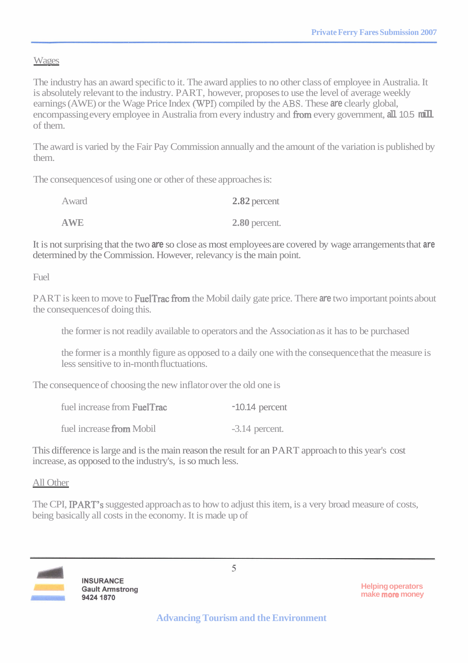#### Wages

The industry has an award specific to it. The award applies to no other class of employee in Australia. It is absolutely relevant to the industry. PART, however, proposes to use the level of average weekly earnings (AWE) or the Wage Price Index (WPr) compiled by the **ABS.** These **are** clearly global, encompassing every employee in Australia from every industry and **from** every government, all 10.5 mill of them.

The award is varied by the Fair Pay Commission annually and the amount of the variation is published by them.

The consequences of using one or other of these approaches is:

| Award      | $2.82$ percent |
|------------|----------------|
| <b>AWE</b> | 2.80 percent.  |

It is not surprising that the two **are** so close as most employees are covered by wage arrangements that **are**  determined by the Commission. However, relevancy is the main point.

Fuel

PART is keen to move to **FuelTrac from** the Mobil daily gate price. There are two important points about the consequences of doing this.

the former is not readily available to operators and the Association as it has to be purchased

the former is a monthly figure as opposed to a daily one with the consequence that the measure is less sensitive to in-month fluctuations.

The consequence of choosing the new inflator over the old one is

| fuel increase from FuelTrac | $-10.14$ percent |
|-----------------------------|------------------|
| fuel increase from Mobil    | $-3.14$ percent. |

This difference is large and is the main reason the result for an PART approach to this year's cost increase, as opposed to the industry's, is so much less.

All Other

The CPI, IPART's suggested approach as to how to adjust this item, is a very broad measure of costs, being basically all costs in the economy. It is made up of



**Helping operators make more money**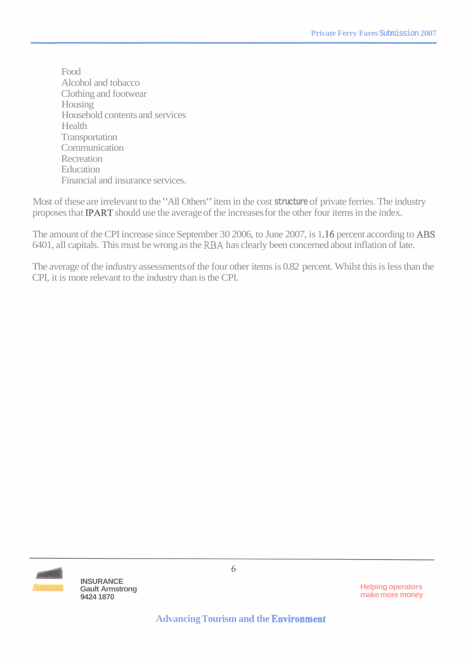Food Alcohol and tobacco Clothing and footwear Housing Household contents and services **Health Transportation** Communication **Recreation Education** Financial and insurance services.

Most of these are irrelevant to the "All Others" item in the cost **structure** of private ferries. The industry proposes that PART should use the average of the increases for the other four items in the index.

The amount of the CPI increase since September 30 2006, to June 2007, is 1.16 percent according to ABS 6401, all capitals. This must be wrong as the **RBA** has clearly been concerned about inflation of late.

The average of the industry assessments of the four other items is 0.82 percent. Whilst this is less than the CPI, it is more relevant to the industry than is the CPI.



**1 <b>INSURANCE**<br> **Gault Armstrong 9424 1870** 

**Helping operators make more money** 

6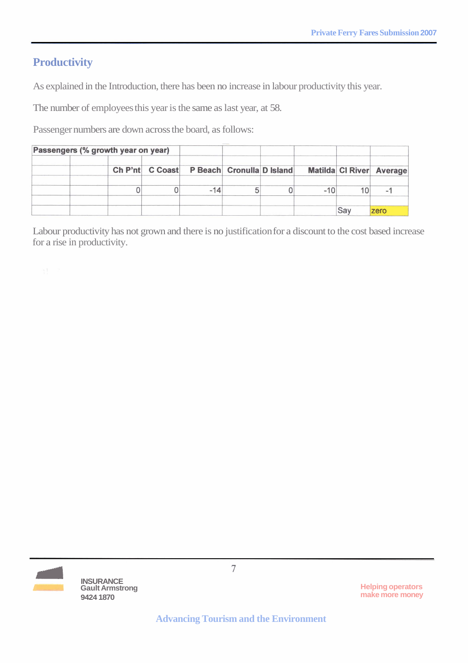## **Productivity**

As explained in the Introduction, there has been no increase in labour productivity this year.

The number of employees this year is the same as last year, at 58.

Passenger numbers are down across the board, as follows:

| Passengers (% growth year on year) |                                           |  |  |  |     |                                 |
|------------------------------------|-------------------------------------------|--|--|--|-----|---------------------------------|
|                                    | Ch P'nt C Coast P Beach Cronulla D Island |  |  |  |     | <b>Matilda CI River Average</b> |
|                                    |                                           |  |  |  | 10  | -                               |
|                                    |                                           |  |  |  | Say | zero                            |

Labour productivity has not grown and there is no justification for a discount to the cost based increase for a rise in productivity.



 $\overline{7}$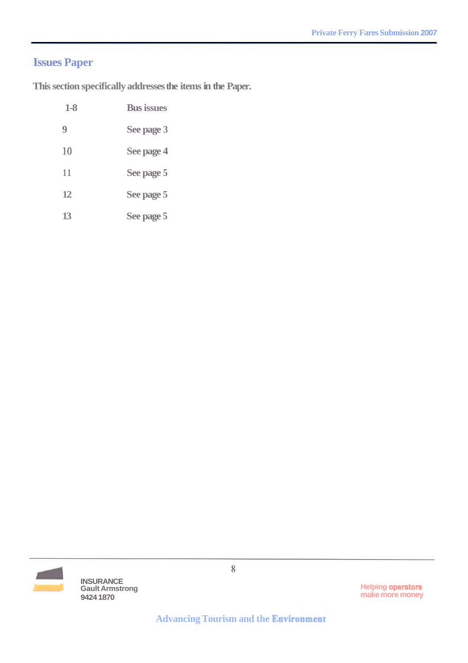## **Issues Paper**

**This section specifically addresses the items in the Paper.** 

| $1-8$ | <b>Bus issues</b> |
|-------|-------------------|
| 9     | See page 3        |
| 10    | See page 4        |
| 11    | See page 5        |
| 12    | See page 5        |
| 13    | See page 5        |



**Gault Armstrong 9424 1870** 

 $\,$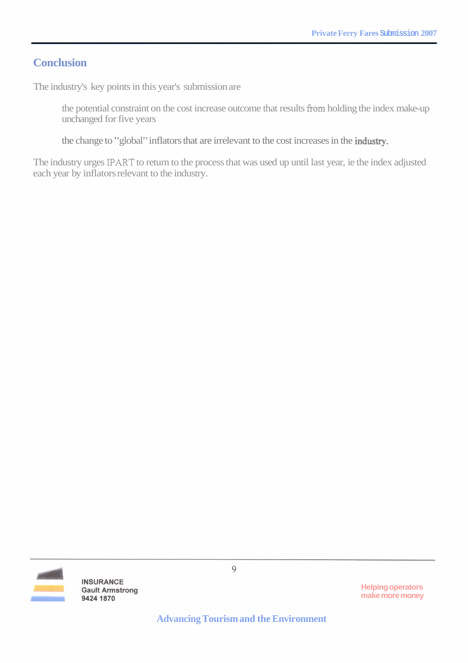## **Conclusion**

The industry's key points in this year's submission are

the potential constraint on the cost increase outcome that results from holding the index make-up unchanged for five years

the change to "global" inflators that are irrelevant to the cost increases in the industry.

The industry urges **IPART** to return to the process that was used up until last year, ie the index adjusted each year by inflators relevant to the industry.



**INSURANCE Gault Armstrong** 9424 1870

9

**Helping operators make more money** 

**Advancing Tourism and the Environment**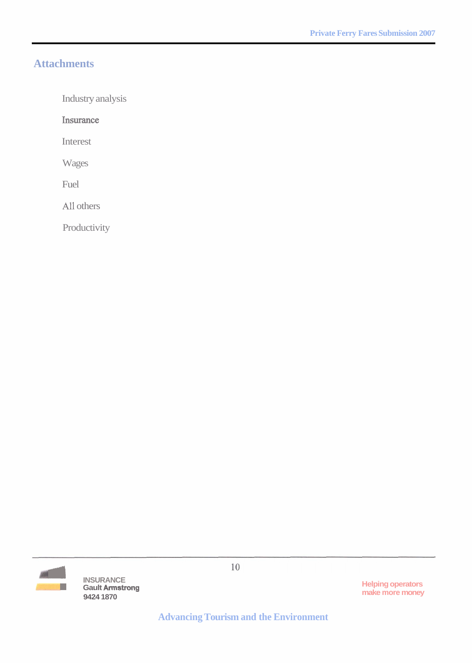## **Attachments**

Industry analysis

Insurance

Interest

Wages

Fuel

All others

Productivity



**INSURANCE**<br>Gault Armstrong 9424 1870

**Helping operators<br>make more money** 

**Advancing Tourism and the Environment**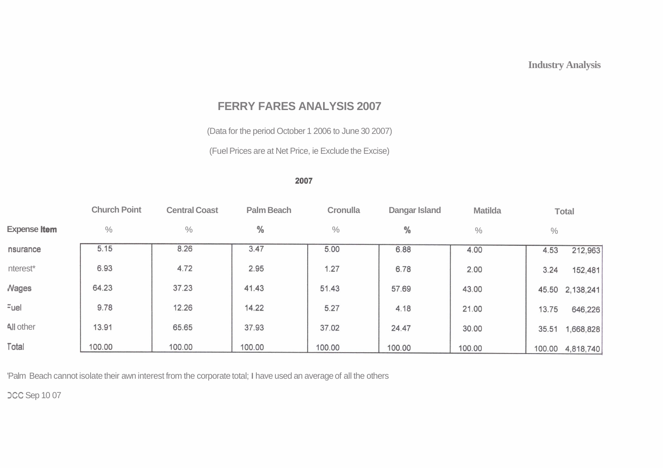## **FERRY FARES ANALYSIS 2007**

(Data for the period October 1 2006 to June 30 2007)

(Fuel Prices are at Net Price, ie Exclude the Excise)

#### 2007

|                     | <b>Church Point</b> | <b>Central Coast</b> | <b>Palm Beach</b> | <b>Cronulla</b> | Dangar Island | <b>Matilda</b> |       | <b>Total</b>     |
|---------------------|---------------------|----------------------|-------------------|-----------------|---------------|----------------|-------|------------------|
| <b>Expense Item</b> | $\%$                | $\%$                 | %                 | $\%$            | %             | $\%$           | $\%$  |                  |
| nsurance            | 5.15                | 8.26                 | 3.47              | 5.00            | 6.88          | 4.00           | 4.53  | 212,963          |
| nterest*            | 6.93                | 4.72                 | 2.95              | 1.27            | 6.78          | 2.00           | 3.24  | 152,481          |
| <b>Nages</b>        | 64.23               | 37.23                | 41.43             | 51.43           | 57.69         | 43.00          |       | 45.50 2,138,241  |
| Fuel                | 9.78                | 12.26                | 14.22             | 5.27            | 4.18          | 21.00          | 13.75 | 646,226          |
| All other           | 13.91               | 65.65                | 37.93             | 37.02           | 24.47         | 30.00          | 35.51 | 1,668,828        |
| Total               | 100.00              | 100.00               | 100.00            | 100.00          | 100.00        | 100.00         |       | 100.00 4,818,740 |

'Palm Beach cannot isolate their awn interest from the corporate total; I have used an average of all the others

**DCC Sep 1007**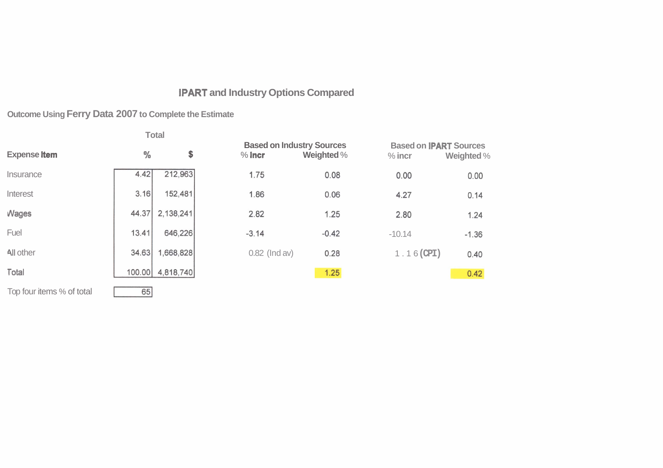## **IPART and Industry Options Compared**

## **Outcome Using Ferry Data 2007 to Complete the Estimate**

|                           |               | Total     |                 |                                                       |                                           |            |
|---------------------------|---------------|-----------|-----------------|-------------------------------------------------------|-------------------------------------------|------------|
| <b>Expense Item</b>       | $\frac{0}{0}$ | \$        | $%$ incr        | <b>Based on Industry Sources</b><br><b>Weighted %</b> | <b>Based on IPART Sources</b><br>$%$ incr | Weighted % |
| Insurance                 | 4.42          | 212,963   | 1.75            | 0.08                                                  | 0.00                                      | 0.00       |
| Interest                  | 3.16          | 152,481   | 1.86            | 0.06                                                  | 4.27                                      | 0.14       |
| <b>Wages</b>              | 44.37         | 2,138,241 | 2.82            | 1.25                                                  | 2.80                                      | 1.24       |
| Fuel                      | 13.41         | 646,226   | $-3.14$         | $-0.42$                                               | $-10.14$                                  | $-1.36$    |
| All other                 | 34.63         | 1,668,828 | $0.82$ (Ind av) | 0.28                                                  | $1.16$ (CPI)                              | 0.40       |
| Total                     | 100.00        | 4,818,740 |                 | 1.25                                                  |                                           | 0.42       |
| Top four items % of total | 65            |           |                 |                                                       |                                           |            |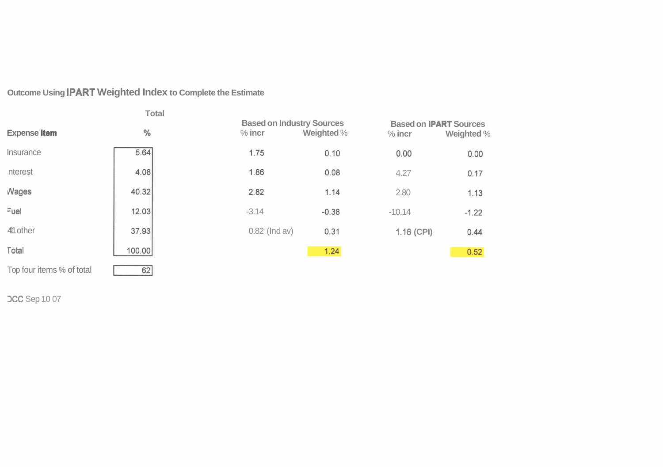## Outcome Using **IPART** Weighted Index to Complete the Estimate

 $62$ 

|                     | <b>Total</b> |          |                                                |            |                                             |
|---------------------|--------------|----------|------------------------------------------------|------------|---------------------------------------------|
| <b>Expense Item</b> | %            | $%$ incr | <b>Based on Industry Sources</b><br>Weighted % | $%$ incr   | <b>Based on IPART Sources</b><br>Weighted % |
| Insurance           | 5.64         | 1.75     | 0.10                                           | 0.00       | 0.00                                        |
| nterest             | 4.08         | 1.86     | 0.08                                           | 4.27       | 0.17                                        |
| <b>Nages</b>        | 40.32        | 2.82     | 1.14                                           | 2.80       | 1.13                                        |
| Fuel                | 12.03        | $-3.14$  | $-0.38$                                        | $-10.14$   | $-1.22$                                     |
| 411 other           | 37.93        |          | $0.82$ (Ind av)<br>0.31                        | 1.16 (CPI) | 0.44                                        |
| <b>Total</b>        | 100.00       |          | 1.24                                           |            | 0.52                                        |

Top four items % of total

**DCC** Sep 10 07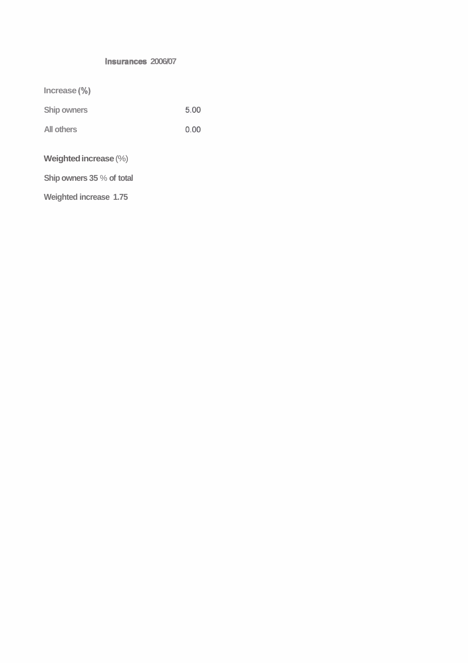#### **lnsurances 2006/07**

| $Increase (\%)$           |      |
|---------------------------|------|
| <b>Ship owners</b>        | 5.00 |
| <b>All others</b>         | 0.00 |
| Weighted increase $(\%)$  |      |
| Ship owners 35 % of total |      |

**Weighted increase 1.75**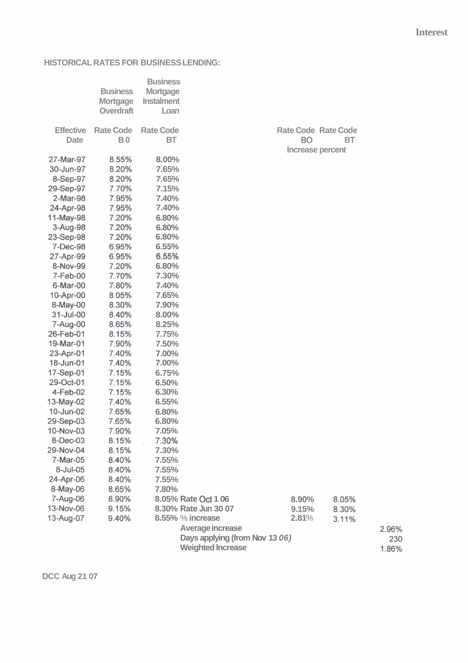#### **HISTORICAL RATES FOR BUSINESS LENDING:**

|                                 | <b>Business</b><br><b>Mortgage</b><br>Overdraft | <b>Business</b><br><b>Mortgage</b><br><b>Instalment</b><br>Loan |                      |                                                                          |       |       |  |
|---------------------------------|-------------------------------------------------|-----------------------------------------------------------------|----------------------|--------------------------------------------------------------------------|-------|-------|--|
| <b>Effective</b><br><b>Date</b> | <b>Rate Code</b><br><b>B0</b>                   | <b>Rate Code</b><br>BT                                          |                      | <b>Rate Code Rate Code</b><br><b>BO</b><br><b>BT</b><br>Increase percent |       |       |  |
| 27-Mar-97                       | 8.55%                                           | 8.00%                                                           |                      |                                                                          |       |       |  |
| 30-Jun-97                       | 8.20%                                           | 7.65%                                                           |                      |                                                                          |       |       |  |
| 8-Sep-97                        | 8.20%                                           | 7.65%                                                           |                      |                                                                          |       |       |  |
| 29-Sep-97                       | 7.70%                                           | 7.15%                                                           |                      |                                                                          |       |       |  |
| 2-Mar-98                        | 7.95%                                           | 7.40%                                                           |                      |                                                                          |       |       |  |
| 24-Apr-98                       | 7.95%                                           | 7.40%                                                           |                      |                                                                          |       |       |  |
| 11-May-98                       | 7.20%                                           | 6.80%                                                           |                      |                                                                          |       |       |  |
| 3-Aug-98                        | 7.20%                                           | 6.80%                                                           |                      |                                                                          |       |       |  |
| 23-Sep-98                       | 7.20%                                           | 6.80%                                                           |                      |                                                                          |       |       |  |
| 7-Dec-98                        | 6.95%                                           | 6.55%                                                           |                      |                                                                          |       |       |  |
| 27-Apr-99                       | 6.95%                                           | 6.55%                                                           |                      |                                                                          |       |       |  |
| 8-Nov-99                        | 7.20%                                           | 6.80%                                                           |                      |                                                                          |       |       |  |
| 7-Feb-00                        | 7.70%                                           | 7.30%                                                           |                      |                                                                          |       |       |  |
| 6-Mar-00                        | 7.80%                                           | 7.40%                                                           |                      |                                                                          |       |       |  |
| 10-Apr-00                       | 8.05%                                           | 7.65%                                                           |                      |                                                                          |       |       |  |
| 8-May-00                        | 8.30%                                           | 7.90%                                                           |                      |                                                                          |       |       |  |
| 31-Jul-00                       | 8.40%                                           | 8.00%                                                           |                      |                                                                          |       |       |  |
| 7-Aug-00                        | 8.65%                                           | 8.25%                                                           |                      |                                                                          |       |       |  |
| 26-Feb-01                       | 8.15%                                           | 7.75%                                                           |                      |                                                                          |       |       |  |
| 19-Mar-01                       | 7.90%                                           | 7.50%                                                           |                      |                                                                          |       |       |  |
| 23-Apr-01                       | 7.40%                                           | 7.00%                                                           |                      |                                                                          |       |       |  |
| 18-Jun-01                       | 7.40%                                           | 7.00%                                                           |                      |                                                                          |       |       |  |
| 17-Sep-01                       | 7.15%                                           | 6.75%                                                           |                      |                                                                          |       |       |  |
| 29-Oct-01                       | 7.15%                                           | 6.50%                                                           |                      |                                                                          |       |       |  |
| 4-Feb-02                        | 7.15%                                           | 6.30%                                                           |                      |                                                                          |       |       |  |
| 13-May-02                       | 7.40%                                           | 6.55%                                                           |                      |                                                                          |       |       |  |
| 10-Jun-02                       | 7.65%                                           | 6.80%                                                           |                      |                                                                          |       |       |  |
| 29-Sep-03                       | 7.65%                                           | 6.80%                                                           |                      |                                                                          |       |       |  |
| 10-Nov-03                       | 7.90%                                           | 7.05%                                                           |                      |                                                                          |       |       |  |
| 8-Dec-03                        | 8.15%                                           | 7.30%                                                           |                      |                                                                          |       |       |  |
| 29-Nov-04                       | 8.15%                                           | 7.30%                                                           |                      |                                                                          |       |       |  |
| 7-Mar-05                        | 8.40%                                           | 7.55%                                                           |                      |                                                                          |       |       |  |
| 8-Jul-05                        | 8.40%                                           | 7.55%                                                           |                      |                                                                          |       |       |  |
| 24-Apr-06                       | 8.40%                                           | 7.55%                                                           |                      |                                                                          |       |       |  |
| 8-May-06                        | 8.65%                                           | 7.80%                                                           |                      |                                                                          |       |       |  |
| 7-Aug-06                        | 8.90%                                           |                                                                 | 8.05% Rate Oct 1 06  | 8.90%                                                                    | 8.05% |       |  |
| 13-Nov-06                       | 9.15%                                           |                                                                 | 8.30% Rate Jun 30 07 | 9.15%                                                                    | 8.30% |       |  |
| 13-Aug-07                       | 9.40%                                           |                                                                 | 8.55% % increase     | 2.81%                                                                    | 3.11% |       |  |
|                                 |                                                 |                                                                 | Average increase     |                                                                          |       | 2.96% |  |
| Days applying (from Nov 13 06)  |                                                 |                                                                 |                      |                                                                          |       | 230   |  |
| <b>Weighted Increase</b>        |                                                 |                                                                 |                      |                                                                          |       | 1.86% |  |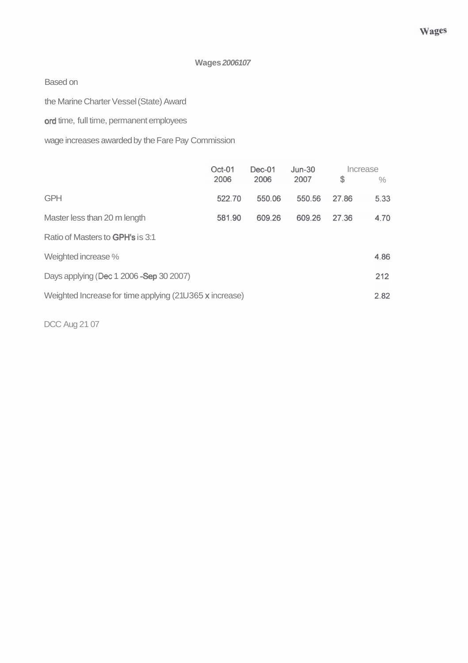#### **Wages 2006107**

Based on

the Marine Charter Vessel (State) Award

ord time, full time, permanent employees

wage increases awarded by the Fare Pay Commission

|                                                         | $Oct-01$<br>2006 | $Dec-01$<br>2006 | $Jun-30$<br>2007 | Increase<br>\$ | $\frac{0}{0}$ |  |
|---------------------------------------------------------|------------------|------------------|------------------|----------------|---------------|--|
| <b>GPH</b>                                              | 522.70           | 550.06           | 550.56           | 27.86          | 5.33          |  |
| Master less than 20 m length                            | 581.90           | 609.26           | 609.26           | 2736           | 4.70          |  |
| Ratio of Masters to <b>GPH's</b> is 3:1                 |                  |                  |                  |                |               |  |
| Weighted increase %                                     |                  |                  |                  |                | 4.86          |  |
| Days applying (Dec 1 2006 - Sep 30 2007)                |                  |                  |                  |                |               |  |
| Weighted Increase for time applying (21U365 x increase) |                  |                  |                  |                |               |  |

DCC Aug 21 07